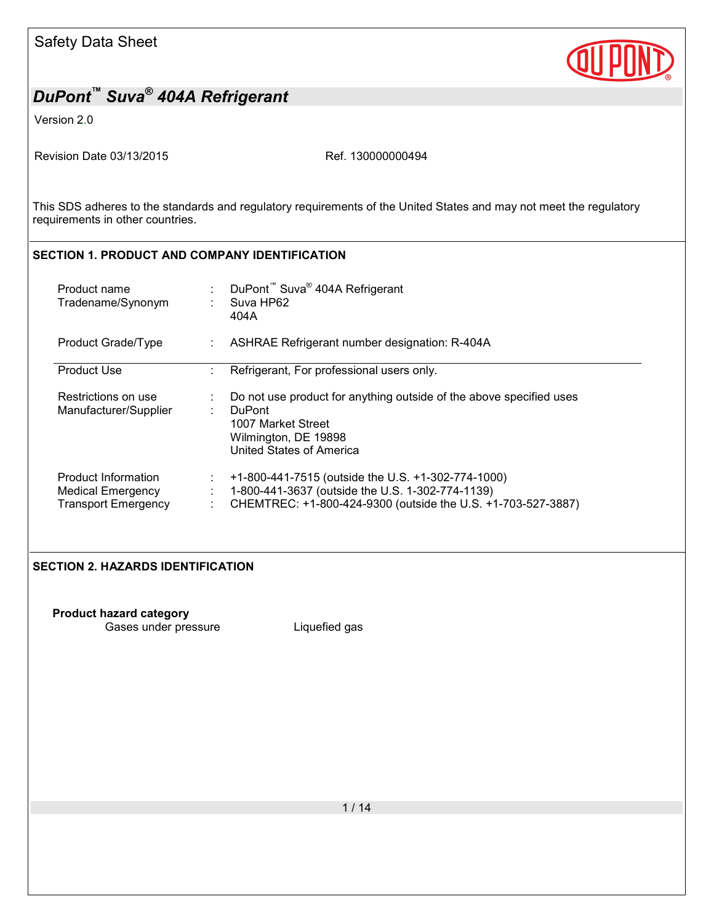

Version 2.0

Revision Date 03/13/2015 Ref. 130000000494

This SDS adheres to the standards and regulatory requirements of the United States and may not meet the regulatory requirements in other countries.

### **SECTION 1. PRODUCT AND COMPANY IDENTIFICATION**

| Product name<br>Tradename/Synonym                                             | DuPont <sup>™</sup> Suva <sup>®</sup> 404A Refrigerant<br>Suva HP62<br>404A                                                                                            |
|-------------------------------------------------------------------------------|------------------------------------------------------------------------------------------------------------------------------------------------------------------------|
| Product Grade/Type                                                            | ASHRAE Refrigerant number designation: R-404A                                                                                                                          |
| <b>Product Use</b>                                                            | Refrigerant, For professional users only.                                                                                                                              |
| Restrictions on use<br>Manufacturer/Supplier                                  | Do not use product for anything outside of the above specified uses<br><b>DuPont</b><br>1007 Market Street<br>Wilmington, DE 19898<br>United States of America         |
| Product Information<br><b>Medical Emergency</b><br><b>Transport Emergency</b> | +1-800-441-7515 (outside the U.S. +1-302-774-1000)<br>1-800-441-3637 (outside the U.S. 1-302-774-1139)<br>CHEMTREC: +1-800-424-9300 (outside the U.S. +1-703-527-3887) |

#### **SECTION 2. HAZARDS IDENTIFICATION**

**Product hazard category** Gases under pressure **Liquefied gas**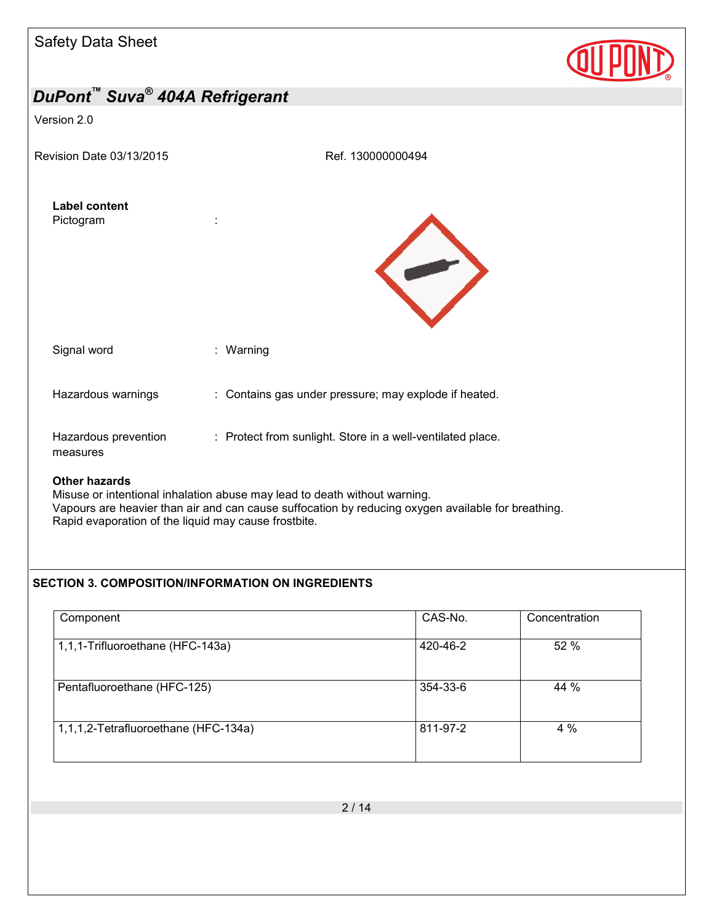

### Version 2.0

Revision Date 03/13/2015 Ref. 130000000494





| ∩∔h∧× h∧¬∧×d∧                    |                                                            |
|----------------------------------|------------------------------------------------------------|
| Hazardous prevention<br>measures | : Protect from sunlight. Store in a well-ventilated place. |
| Hazardous warnings               | : Contains gas under pressure; may explode if heated.      |
| Signal word                      | : Warning                                                  |

#### **Other hazards**

Misuse or intentional inhalation abuse may lead to death without warning. Vapours are heavier than air and can cause suffocation by reducing oxygen available for breathing. Rapid evaporation of the liquid may cause frostbite.

### **SECTION 3. COMPOSITION/INFORMATION ON INGREDIENTS**

| Component                            | CAS-No.  | Concentration |
|--------------------------------------|----------|---------------|
| 1,1,1-Trifluoroethane (HFC-143a)     | 420-46-2 | 52 %          |
| Pentafluoroethane (HFC-125)          | 354-33-6 | 44 %          |
| 1,1,1,2-Tetrafluoroethane (HFC-134a) | 811-97-2 | 4%            |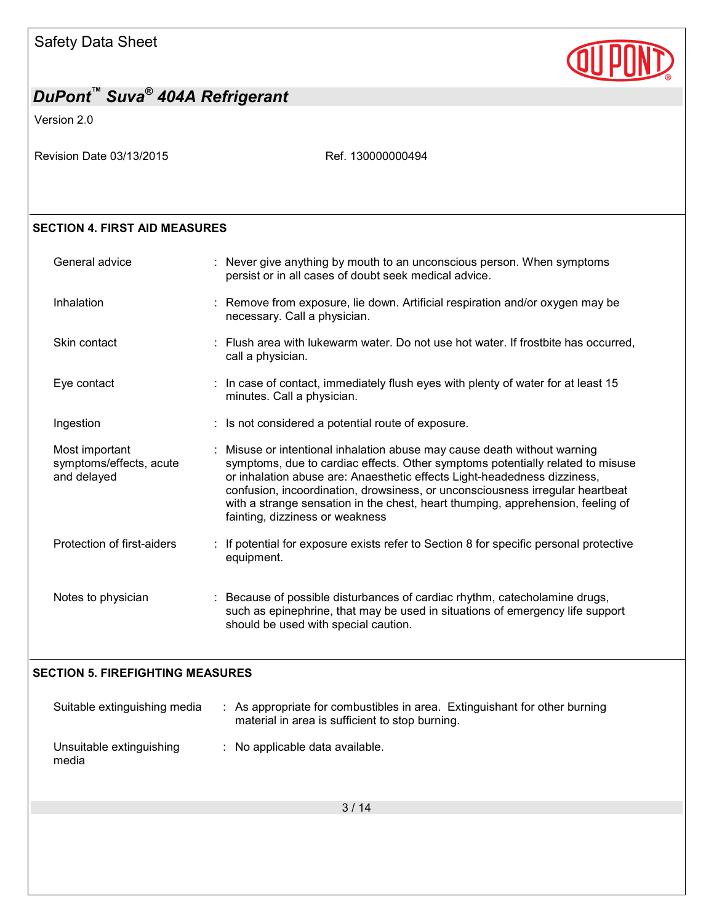

Version 2.0

Revision Date 03/13/2015 Ref. 130000000494

### **SECTION 4. FIRST AID MEASURES**

| General advice                                           | : Never give anything by mouth to an unconscious person. When symptoms<br>persist or in all cases of doubt seek medical advice.                                                                                                                                                                                                                                                                                                               |
|----------------------------------------------------------|-----------------------------------------------------------------------------------------------------------------------------------------------------------------------------------------------------------------------------------------------------------------------------------------------------------------------------------------------------------------------------------------------------------------------------------------------|
| Inhalation                                               | : Remove from exposure, lie down. Artificial respiration and/or oxygen may be<br>necessary. Call a physician.                                                                                                                                                                                                                                                                                                                                 |
| Skin contact                                             | : Flush area with lukewarm water. Do not use hot water. If frostbite has occurred,<br>call a physician.                                                                                                                                                                                                                                                                                                                                       |
| Eye contact                                              | : In case of contact, immediately flush eyes with plenty of water for at least 15<br>minutes. Call a physician.                                                                                                                                                                                                                                                                                                                               |
| Ingestion                                                | : Is not considered a potential route of exposure.                                                                                                                                                                                                                                                                                                                                                                                            |
| Most important<br>symptoms/effects, acute<br>and delayed | : Misuse or intentional inhalation abuse may cause death without warning<br>symptoms, due to cardiac effects. Other symptoms potentially related to misuse<br>or inhalation abuse are: Anaesthetic effects Light-headedness dizziness,<br>confusion, incoordination, drowsiness, or unconsciousness irregular heartbeat<br>with a strange sensation in the chest, heart thumping, apprehension, feeling of<br>fainting, dizziness or weakness |
| Protection of first-aiders                               | If potential for exposure exists refer to Section 8 for specific personal protective<br>equipment.                                                                                                                                                                                                                                                                                                                                            |
| Notes to physician                                       | : Because of possible disturbances of cardiac rhythm, catecholamine drugs,<br>such as epinephrine, that may be used in situations of emergency life support<br>should be used with special caution.                                                                                                                                                                                                                                           |

#### **SECTION 5. FIREFIGHTING MEASURES**

| Suitable extinguishing media      | : As appropriate for combustibles in area. Extinguishant for other burning<br>material in area is sufficient to stop burning. |
|-----------------------------------|-------------------------------------------------------------------------------------------------------------------------------|
| Unsuitable extinguishing<br>media | $\therefore$ No applicable data available.                                                                                    |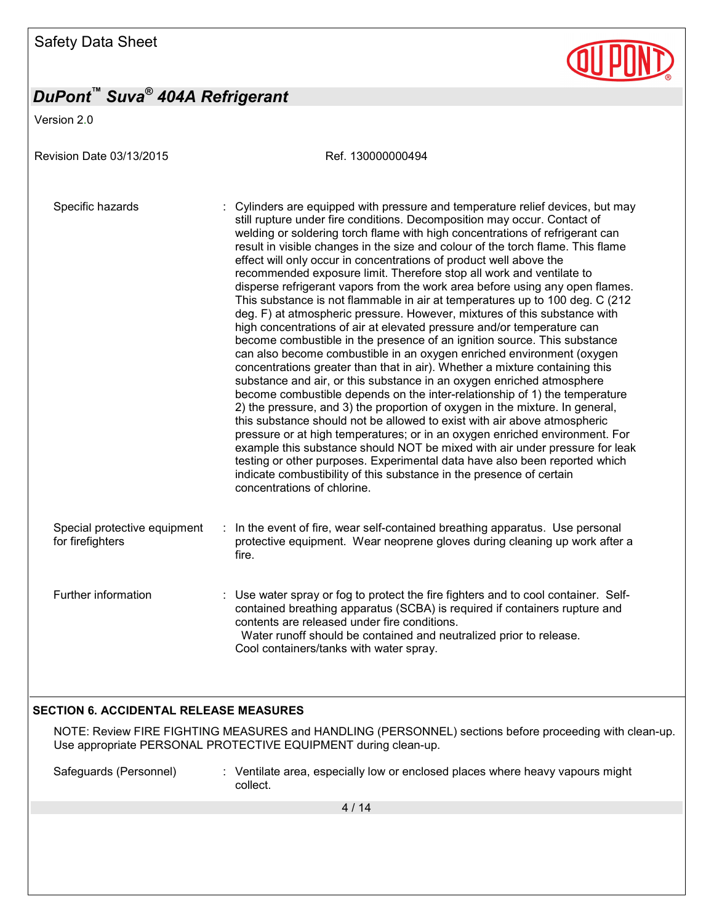Version 2.0

Revision Date 03/13/2015 Revision Date 03/13/2015 Specific hazards : Cylinders are equipped with pressure and temperature relief devices, but may still rupture under fire conditions. Decomposition may occur. Contact of welding or soldering torch flame with high concentrations of refrigerant can result in visible changes in the size and colour of the torch flame. This flame effect will only occur in concentrations of product well above the recommended exposure limit. Therefore stop all work and ventilate to disperse refrigerant vapors from the work area before using any open flames. This substance is not flammable in air at temperatures up to 100 deg. C (212 deg. F) at atmospheric pressure. However, mixtures of this substance with high concentrations of air at elevated pressure and/or temperature can become combustible in the presence of an ignition source. This substance can also become combustible in an oxygen enriched environment (oxygen concentrations greater than that in air). Whether a mixture containing this substance and air, or this substance in an oxygen enriched atmosphere become combustible depends on the inter-relationship of 1) the temperature 2) the pressure, and 3) the proportion of oxygen in the mixture. In general, this substance should not be allowed to exist with air above atmospheric pressure or at high temperatures; or in an oxygen enriched environment. For example this substance should NOT be mixed with air under pressure for leak testing or other purposes. Experimental data have also been reported which indicate combustibility of this substance in the presence of certain concentrations of chlorine. Special protective equipment for firefighters : In the event of fire, wear self-contained breathing apparatus. Use personal protective equipment. Wear neoprene gloves during cleaning up work after a fire. Further information : Use water spray or fog to protect the fire fighters and to cool container. Selfcontained breathing apparatus (SCBA) is required if containers rupture and contents are released under fire conditions. Water runoff should be contained and neutralized prior to release. Cool containers/tanks with water spray.

### **SECTION 6. ACCIDENTAL RELEASE MEASURES**

NOTE: Review FIRE FIGHTING MEASURES and HANDLING (PERSONNEL) sections before proceeding with clean-up. Use appropriate PERSONAL PROTECTIVE EQUIPMENT during clean-up.

Safeguards (Personnel) : Ventilate area, especially low or enclosed places where heavy vapours might collect.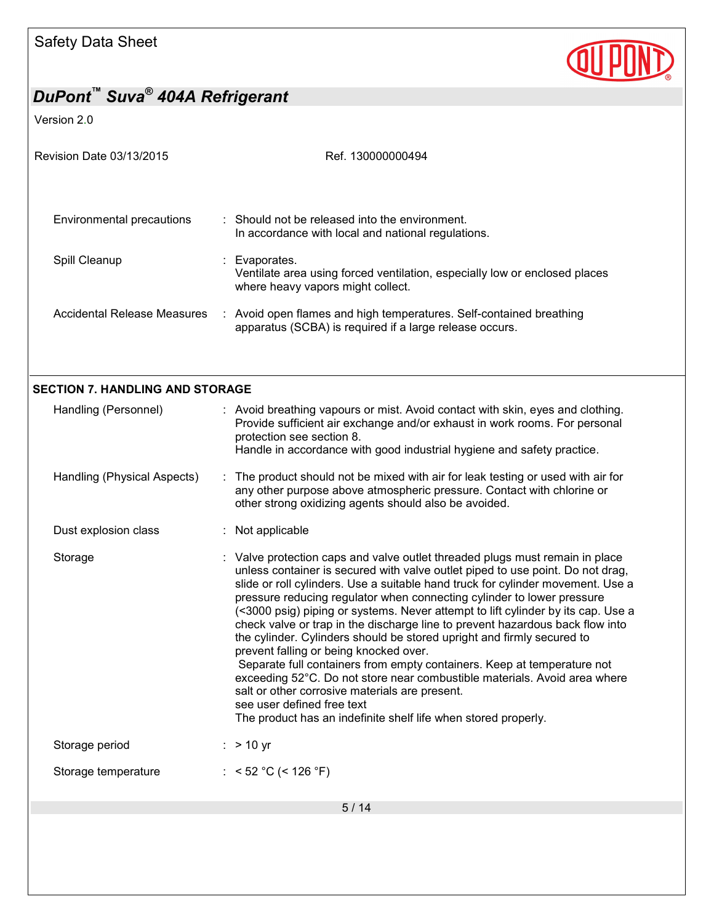

| Revision Date 03/13/2015               | Ref. 130000000494                                                                                                                                                                                                                                                                                                                                                                                                                                                                                                                                                                                                                                                                                                                                                                                                                                                                                                              |  |  |  |
|----------------------------------------|--------------------------------------------------------------------------------------------------------------------------------------------------------------------------------------------------------------------------------------------------------------------------------------------------------------------------------------------------------------------------------------------------------------------------------------------------------------------------------------------------------------------------------------------------------------------------------------------------------------------------------------------------------------------------------------------------------------------------------------------------------------------------------------------------------------------------------------------------------------------------------------------------------------------------------|--|--|--|
| Environmental precautions              | : Should not be released into the environment.<br>In accordance with local and national regulations.                                                                                                                                                                                                                                                                                                                                                                                                                                                                                                                                                                                                                                                                                                                                                                                                                           |  |  |  |
| Spill Cleanup                          | Evaporates.<br>Ventilate area using forced ventilation, especially low or enclosed places<br>where heavy vapors might collect.                                                                                                                                                                                                                                                                                                                                                                                                                                                                                                                                                                                                                                                                                                                                                                                                 |  |  |  |
| <b>Accidental Release Measures</b>     | : Avoid open flames and high temperatures. Self-contained breathing<br>apparatus (SCBA) is required if a large release occurs.                                                                                                                                                                                                                                                                                                                                                                                                                                                                                                                                                                                                                                                                                                                                                                                                 |  |  |  |
| <b>SECTION 7. HANDLING AND STORAGE</b> |                                                                                                                                                                                                                                                                                                                                                                                                                                                                                                                                                                                                                                                                                                                                                                                                                                                                                                                                |  |  |  |
| Handling (Personnel)                   | : Avoid breathing vapours or mist. Avoid contact with skin, eyes and clothing.<br>Provide sufficient air exchange and/or exhaust in work rooms. For personal<br>protection see section 8.<br>Handle in accordance with good industrial hygiene and safety practice.                                                                                                                                                                                                                                                                                                                                                                                                                                                                                                                                                                                                                                                            |  |  |  |
| Handling (Physical Aspects)            | : The product should not be mixed with air for leak testing or used with air for<br>any other purpose above atmospheric pressure. Contact with chlorine or<br>other strong oxidizing agents should also be avoided.                                                                                                                                                                                                                                                                                                                                                                                                                                                                                                                                                                                                                                                                                                            |  |  |  |
| Dust explosion class                   | : Not applicable                                                                                                                                                                                                                                                                                                                                                                                                                                                                                                                                                                                                                                                                                                                                                                                                                                                                                                               |  |  |  |
| Storage                                | : Valve protection caps and valve outlet threaded plugs must remain in place<br>unless container is secured with valve outlet piped to use point. Do not drag,<br>slide or roll cylinders. Use a suitable hand truck for cylinder movement. Use a<br>pressure reducing regulator when connecting cylinder to lower pressure<br>(<3000 psig) piping or systems. Never attempt to lift cylinder by its cap. Use a<br>check valve or trap in the discharge line to prevent hazardous back flow into<br>the cylinder. Cylinders should be stored upright and firmly secured to<br>prevent falling or being knocked over.<br>Separate full containers from empty containers. Keep at temperature not<br>exceeding 52°C. Do not store near combustible materials. Avoid area where<br>salt or other corrosive materials are present.<br>see user defined free text<br>The product has an indefinite shelf life when stored properly. |  |  |  |
| Storage period                         | $:$ > 10 yr                                                                                                                                                                                                                                                                                                                                                                                                                                                                                                                                                                                                                                                                                                                                                                                                                                                                                                                    |  |  |  |
| Storage temperature                    | : $<$ 52 °C (< 126 °F)                                                                                                                                                                                                                                                                                                                                                                                                                                                                                                                                                                                                                                                                                                                                                                                                                                                                                                         |  |  |  |
|                                        | 5/14                                                                                                                                                                                                                                                                                                                                                                                                                                                                                                                                                                                                                                                                                                                                                                                                                                                                                                                           |  |  |  |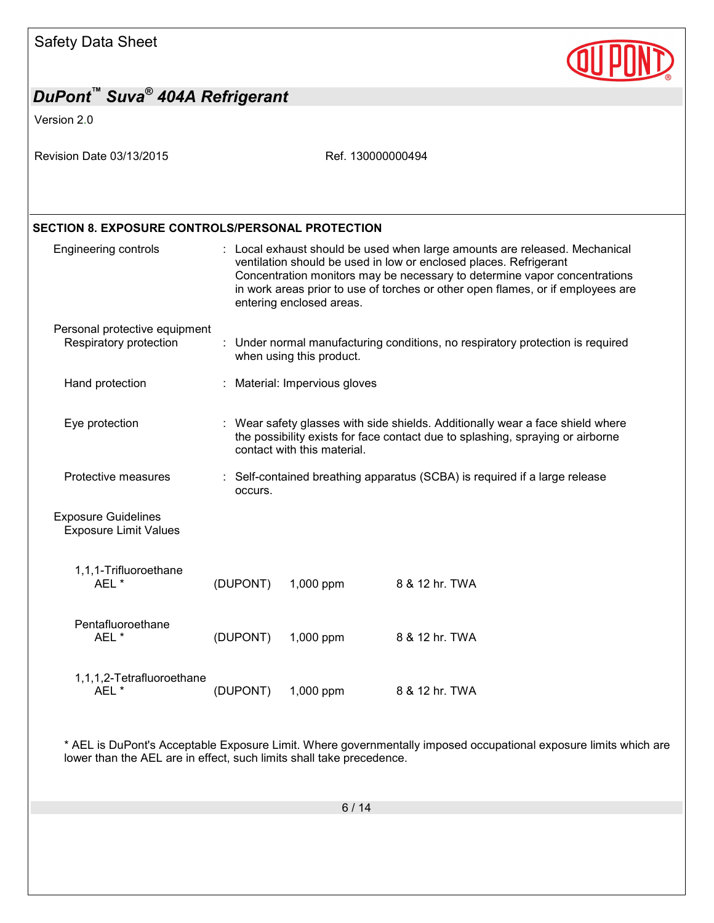

| DuPont "Suva <sup>®</sup> 404A Refrigerant                 |          |                                                                                                                                                                                                                                                                                                                                             |                |  |  |
|------------------------------------------------------------|----------|---------------------------------------------------------------------------------------------------------------------------------------------------------------------------------------------------------------------------------------------------------------------------------------------------------------------------------------------|----------------|--|--|
| Version 2.0                                                |          |                                                                                                                                                                                                                                                                                                                                             |                |  |  |
| Revision Date 03/13/2015                                   |          | Ref. 130000000494                                                                                                                                                                                                                                                                                                                           |                |  |  |
| <b>SECTION 8. EXPOSURE CONTROLS/PERSONAL PROTECTION</b>    |          |                                                                                                                                                                                                                                                                                                                                             |                |  |  |
| <b>Engineering controls</b>                                |          | : Local exhaust should be used when large amounts are released. Mechanical<br>ventilation should be used in low or enclosed places. Refrigerant<br>Concentration monitors may be necessary to determine vapor concentrations<br>in work areas prior to use of torches or other open flames, or if employees are<br>entering enclosed areas. |                |  |  |
| Personal protective equipment<br>Respiratory protection    |          | : Under normal manufacturing conditions, no respiratory protection is required<br>when using this product.                                                                                                                                                                                                                                  |                |  |  |
| Hand protection                                            |          | : Material: Impervious gloves                                                                                                                                                                                                                                                                                                               |                |  |  |
| Eye protection                                             |          | : Wear safety glasses with side shields. Additionally wear a face shield where<br>the possibility exists for face contact due to splashing, spraying or airborne<br>contact with this material.                                                                                                                                             |                |  |  |
| Protective measures                                        | occurs.  | Self-contained breathing apparatus (SCBA) is required if a large release                                                                                                                                                                                                                                                                    |                |  |  |
| <b>Exposure Guidelines</b><br><b>Exposure Limit Values</b> |          |                                                                                                                                                                                                                                                                                                                                             |                |  |  |
| 1,1,1-Trifluoroethane<br>AEL *                             | (DUPONT) | 1,000 ppm                                                                                                                                                                                                                                                                                                                                   | 8 & 12 hr. TWA |  |  |
| Pentafluoroethane<br>AEL *                                 | (DUPONT) | 1,000 ppm                                                                                                                                                                                                                                                                                                                                   | 8 & 12 hr. TWA |  |  |
| 1,1,1,2-Tetrafluoroethane<br>AEL*                          | (DUPONT) | 1,000 ppm                                                                                                                                                                                                                                                                                                                                   | 8 & 12 hr. TWA |  |  |

\* AEL is DuPont's Acceptable Exposure Limit. Where governmentally imposed occupational exposure limits which are lower than the AEL are in effect, such limits shall take precedence.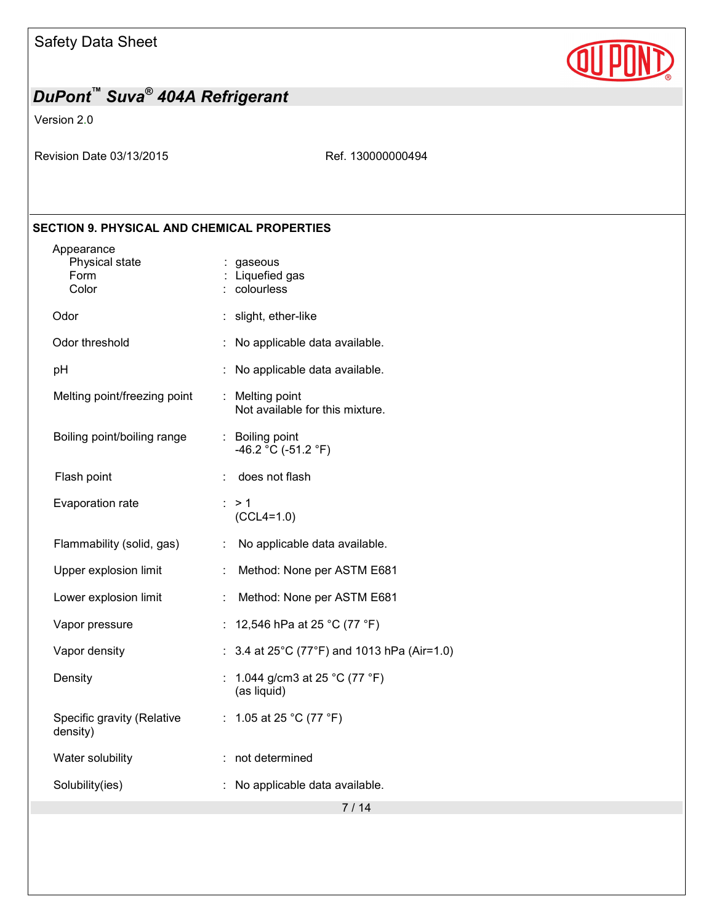

Version 2.0

Revision Date 03/13/2015 Ref. 130000000494

### **SECTION 9. PHYSICAL AND CHEMICAL PROPERTIES**

| Appearance<br>Physical state<br>Form<br>Color |                      | : gaseous<br>Liquefied gas<br>: colourless         |
|-----------------------------------------------|----------------------|----------------------------------------------------|
| Odor                                          |                      | : slight, ether-like                               |
| Odor threshold                                |                      | No applicable data available.                      |
| рH                                            |                      | No applicable data available.                      |
| Melting point/freezing point                  |                      | : Melting point<br>Not available for this mixture. |
| Boiling point/boiling range                   |                      | : Boiling point<br>-46.2 °C (-51.2 °F)             |
| Flash point                                   |                      | does not flash                                     |
| Evaporation rate                              |                      | $\therefore$ > 1<br>$(CCL4=1.0)$                   |
| Flammability (solid, gas)                     | ÷                    | No applicable data available.                      |
| Upper explosion limit                         |                      | Method: None per ASTM E681                         |
| Lower explosion limit                         | $\ddot{\phantom{a}}$ | Method: None per ASTM E681                         |
| Vapor pressure                                |                      | 12,546 hPa at 25 °C (77 °F)                        |
| Vapor density                                 |                      | : $3.4$ at 25°C (77°F) and 1013 hPa (Air=1.0)      |
| Density                                       |                      | 1.044 g/cm3 at 25 °C (77 °F)<br>(as liquid)        |
| Specific gravity (Relative<br>density)        |                      | : 1.05 at 25 °C (77 °F)                            |
| Water solubility                              |                      | not determined                                     |
| Solubility(ies)                               |                      | No applicable data available.                      |
|                                               |                      | 7 / 14                                             |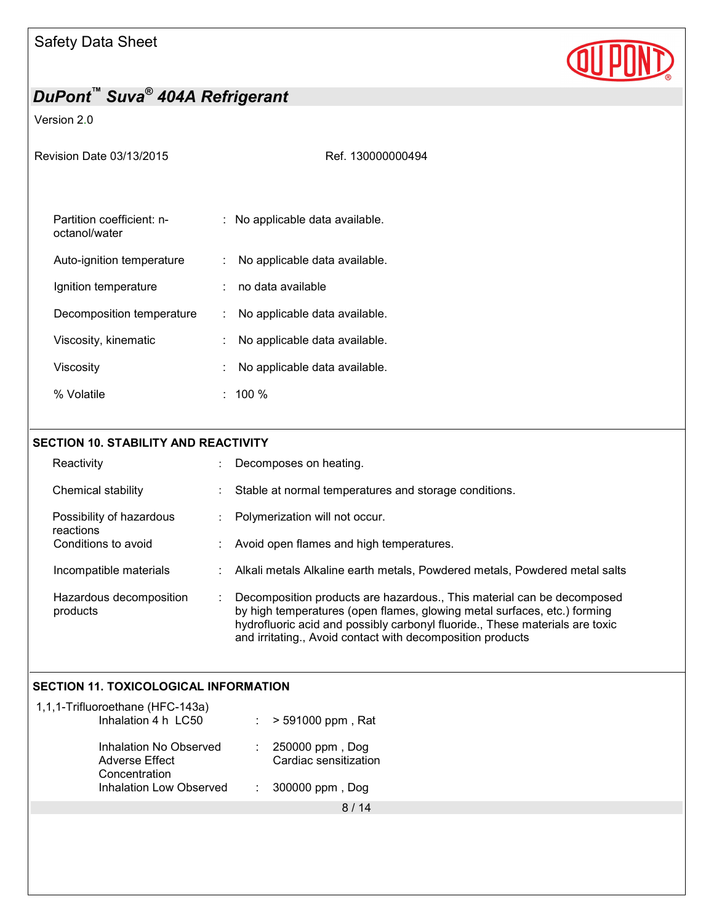

### Version 2.0

Ref. 130000000494

| Partition coefficient: n-<br>octanol/water | : No applicable data available.     |
|--------------------------------------------|-------------------------------------|
| Auto-ignition temperature                  | No applicable data available.       |
| Ignition temperature                       | no data available                   |
| Decomposition temperature                  | No applicable data available.<br>t. |
| Viscosity, kinematic                       | No applicable data available.       |
| Viscositv                                  | No applicable data available.       |
| % Volatile                                 | $\pm$ 100 %                         |

### **SECTION 10. STABILITY AND REACTIVITY**

| Reactivity                            | Decomposes on heating.                                                                                                                                                                                                                                                                           |  |
|---------------------------------------|--------------------------------------------------------------------------------------------------------------------------------------------------------------------------------------------------------------------------------------------------------------------------------------------------|--|
| Chemical stability                    | Stable at normal temperatures and storage conditions.                                                                                                                                                                                                                                            |  |
| Possibility of hazardous<br>reactions | Polymerization will not occur.                                                                                                                                                                                                                                                                   |  |
| Conditions to avoid                   | Avoid open flames and high temperatures.                                                                                                                                                                                                                                                         |  |
| Incompatible materials                | Alkali metals Alkaline earth metals, Powdered metals, Powdered metal salts                                                                                                                                                                                                                       |  |
| Hazardous decomposition<br>products   | Decomposition products are hazardous., This material can be decomposed<br>by high temperatures (open flames, glowing metal surfaces, etc.) forming<br>hydrofluoric acid and possibly carbonyl fluoride., These materials are toxic<br>and irritating., Avoid contact with decomposition products |  |

### **SECTION 11. TOXICOLOGICAL INFORMATION**

| 1,1,1-Trifluoroethane (HFC-143a)<br>Inhalation 4 h LC50   | $:$ > 591000 ppm, Rat                        |
|-----------------------------------------------------------|----------------------------------------------|
| Inhalation No Observed<br>Adverse Effect<br>Concentration | : $250000$ ppm, Dog<br>Cardiac sensitization |
| <b>Inhalation Low Observed</b>                            | $: 300000$ ppm, Dog                          |
|                                                           |                                              |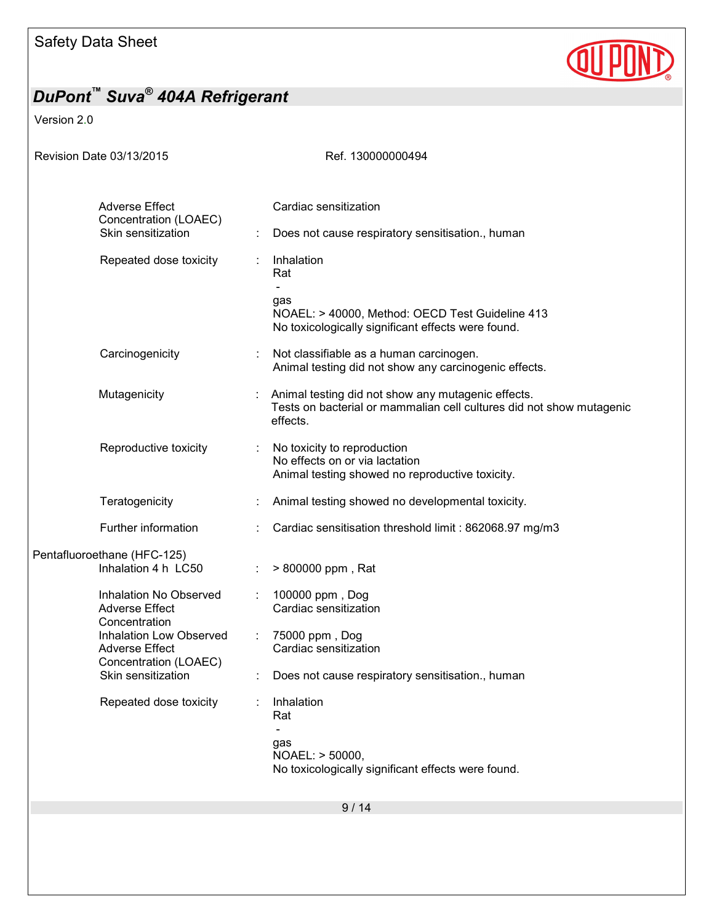

| Revision Date 03/13/2015                                                                                                       | Ref. 130000000494                                                                                                                      |
|--------------------------------------------------------------------------------------------------------------------------------|----------------------------------------------------------------------------------------------------------------------------------------|
| <b>Adverse Effect</b><br>Concentration (LOAEC)<br>Skin sensitization                                                           | Cardiac sensitization<br>Does not cause respiratory sensitisation., human                                                              |
| Repeated dose toxicity                                                                                                         | Inhalation<br>Rat<br>gas<br>NOAEL: > 40000, Method: OECD Test Guideline 413<br>No toxicologically significant effects were found.      |
| Carcinogenicity                                                                                                                | Not classifiable as a human carcinogen.<br>Animal testing did not show any carcinogenic effects.                                       |
| Mutagenicity                                                                                                                   | Animal testing did not show any mutagenic effects.<br>Tests on bacterial or mammalian cell cultures did not show mutagenic<br>effects. |
| Reproductive toxicity                                                                                                          | No toxicity to reproduction<br>No effects on or via lactation<br>Animal testing showed no reproductive toxicity.                       |
| Teratogenicity                                                                                                                 | Animal testing showed no developmental toxicity.                                                                                       |
| Further information                                                                                                            | Cardiac sensitisation threshold limit: 862068.97 mg/m3                                                                                 |
| Pentafluoroethane (HFC-125)<br>Inhalation 4 h LC50                                                                             | > 800000 ppm, Rat                                                                                                                      |
| Inhalation No Observed<br><b>Adverse Effect</b><br>Concentration                                                               | 100000 ppm, Dog<br>Cardiac sensitization                                                                                               |
| Inhalation Low Observed<br>$\mathcal{L}_{\mathcal{A}}$<br><b>Adverse Effect</b><br>Concentration (LOAEC)<br>Skin sensitization | 75000 ppm, Dog<br>Cardiac sensitization<br>Does not cause respiratory sensitisation., human                                            |
| Repeated dose toxicity                                                                                                         | Inhalation<br>Rat                                                                                                                      |
|                                                                                                                                | gas<br>NOAEL: > 50000,<br>No toxicologically significant effects were found.                                                           |
|                                                                                                                                | 9/14                                                                                                                                   |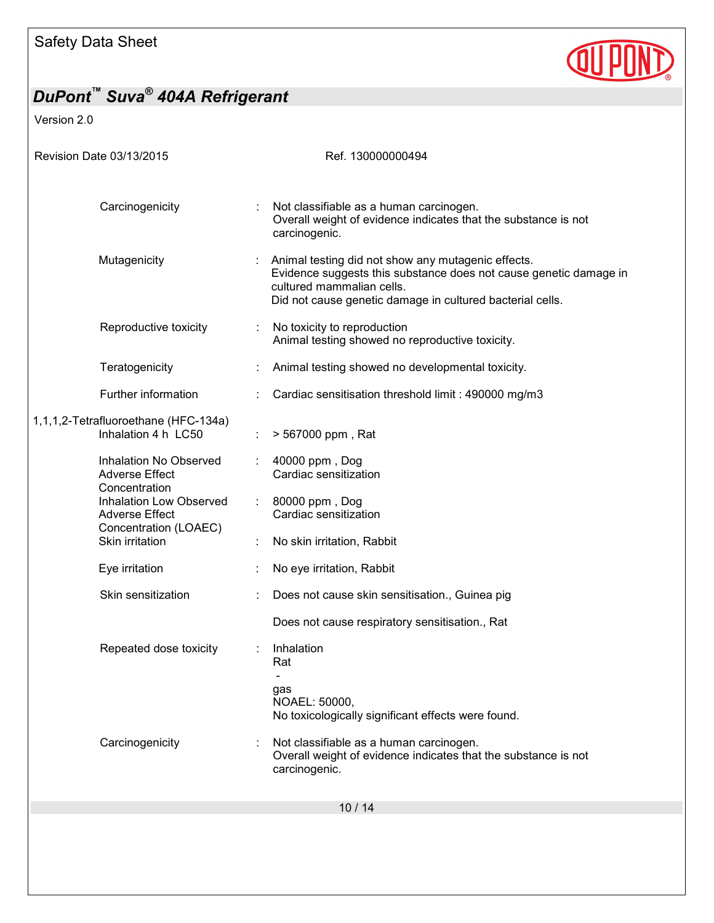

| Revision Date 03/13/2015                                                  | Ref. 130000000494                                                                                                                                                                                                 |
|---------------------------------------------------------------------------|-------------------------------------------------------------------------------------------------------------------------------------------------------------------------------------------------------------------|
|                                                                           |                                                                                                                                                                                                                   |
| Carcinogenicity                                                           | Not classifiable as a human carcinogen.<br>Overall weight of evidence indicates that the substance is not<br>carcinogenic.                                                                                        |
| Mutagenicity                                                              | Animal testing did not show any mutagenic effects.<br>Evidence suggests this substance does not cause genetic damage in<br>cultured mammalian cells.<br>Did not cause genetic damage in cultured bacterial cells. |
| Reproductive toxicity                                                     | No toxicity to reproduction<br>Animal testing showed no reproductive toxicity.                                                                                                                                    |
| Teratogenicity                                                            | Animal testing showed no developmental toxicity.                                                                                                                                                                  |
| Further information                                                       | Cardiac sensitisation threshold limit: 490000 mg/m3                                                                                                                                                               |
| 1,1,1,2-Tetrafluoroethane (HFC-134a)<br>Inhalation 4 h LC50               | > 567000 ppm, Rat                                                                                                                                                                                                 |
| Inhalation No Observed<br><b>Adverse Effect</b><br>Concentration          | 40000 ppm, Dog<br>Cardiac sensitization                                                                                                                                                                           |
| Inhalation Low Observed<br><b>Adverse Effect</b><br>Concentration (LOAEC) | 80000 ppm, Dog<br>Cardiac sensitization                                                                                                                                                                           |
| Skin irritation                                                           | No skin irritation, Rabbit                                                                                                                                                                                        |
| Eye irritation                                                            | No eye irritation, Rabbit                                                                                                                                                                                         |
| Skin sensitization                                                        | Does not cause skin sensitisation., Guinea pig                                                                                                                                                                    |
|                                                                           | Does not cause respiratory sensitisation., Rat                                                                                                                                                                    |
| Repeated dose toxicity                                                    | Inhalation<br>Rat<br>$\overline{\phantom{a}}$                                                                                                                                                                     |
|                                                                           | gas<br>NOAEL: 50000,<br>No toxicologically significant effects were found.                                                                                                                                        |
| Carcinogenicity                                                           | Not classifiable as a human carcinogen.<br>Overall weight of evidence indicates that the substance is not<br>carcinogenic.                                                                                        |
|                                                                           | 10/14                                                                                                                                                                                                             |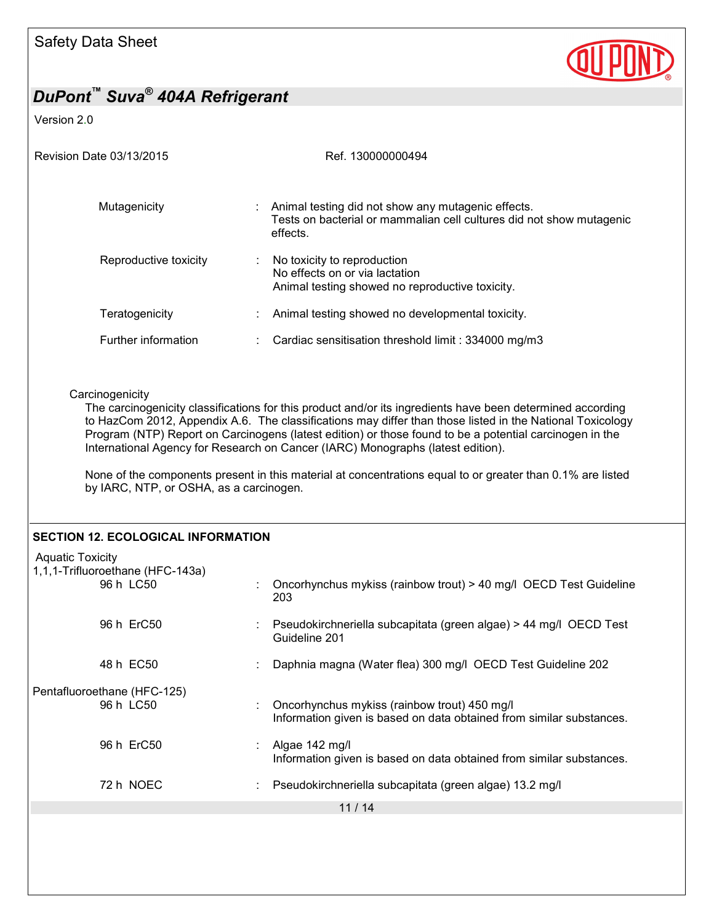

| Revision Date 03/13/2015                                                 | Ref. 130000000494                                                                                                                                                                                                                                                                                                                                                                                                                                                                                                                   |
|--------------------------------------------------------------------------|-------------------------------------------------------------------------------------------------------------------------------------------------------------------------------------------------------------------------------------------------------------------------------------------------------------------------------------------------------------------------------------------------------------------------------------------------------------------------------------------------------------------------------------|
| Mutagenicity                                                             | Animal testing did not show any mutagenic effects.<br>Tests on bacterial or mammalian cell cultures did not show mutagenic<br>effects.                                                                                                                                                                                                                                                                                                                                                                                              |
| Reproductive toxicity                                                    | No toxicity to reproduction<br>No effects on or via lactation<br>Animal testing showed no reproductive toxicity.                                                                                                                                                                                                                                                                                                                                                                                                                    |
| Teratogenicity                                                           | Animal testing showed no developmental toxicity.                                                                                                                                                                                                                                                                                                                                                                                                                                                                                    |
| Further information                                                      | Cardiac sensitisation threshold limit: 334000 mg/m3                                                                                                                                                                                                                                                                                                                                                                                                                                                                                 |
| Carcinogenicity<br>by IARC, NTP, or OSHA, as a carcinogen.               | The carcinogenicity classifications for this product and/or its ingredients have been determined according<br>to HazCom 2012, Appendix A.6. The classifications may differ than those listed in the National Toxicology<br>Program (NTP) Report on Carcinogens (latest edition) or those found to be a potential carcinogen in the<br>International Agency for Research on Cancer (IARC) Monographs (latest edition).<br>None of the components present in this material at concentrations equal to or greater than 0.1% are listed |
| <b>SECTION 12. ECOLOGICAL INFORMATION</b>                                |                                                                                                                                                                                                                                                                                                                                                                                                                                                                                                                                     |
| <b>Aquatic Toxicity</b><br>1,1,1-Trifluoroethane (HFC-143a)<br>96 h LC50 | Oncorhynchus mykiss (rainbow trout) > 40 mg/l OECD Test Guideline<br>203                                                                                                                                                                                                                                                                                                                                                                                                                                                            |
| 96 h ErC50                                                               | Pseudokirchneriella subcapitata (green algae) > 44 mg/l OECD Test<br>Guideline 201                                                                                                                                                                                                                                                                                                                                                                                                                                                  |
| 48 h EC50                                                                | Daphnia magna (Water flea) 300 mg/l OECD Test Guideline 202                                                                                                                                                                                                                                                                                                                                                                                                                                                                         |
| Pentafluoroethane (HFC-125)<br>96 h LC50                                 | Oncorhynchus mykiss (rainbow trout) 450 mg/l<br>Information given is based on data obtained from similar substances.                                                                                                                                                                                                                                                                                                                                                                                                                |
| 96 h ErC50                                                               | Algae 142 mg/l<br>Information given is based on data obtained from similar substances.                                                                                                                                                                                                                                                                                                                                                                                                                                              |
| 72 h NOEC                                                                | Pseudokirchneriella subcapitata (green algae) 13.2 mg/l                                                                                                                                                                                                                                                                                                                                                                                                                                                                             |
|                                                                          | 11/14                                                                                                                                                                                                                                                                                                                                                                                                                                                                                                                               |
|                                                                          |                                                                                                                                                                                                                                                                                                                                                                                                                                                                                                                                     |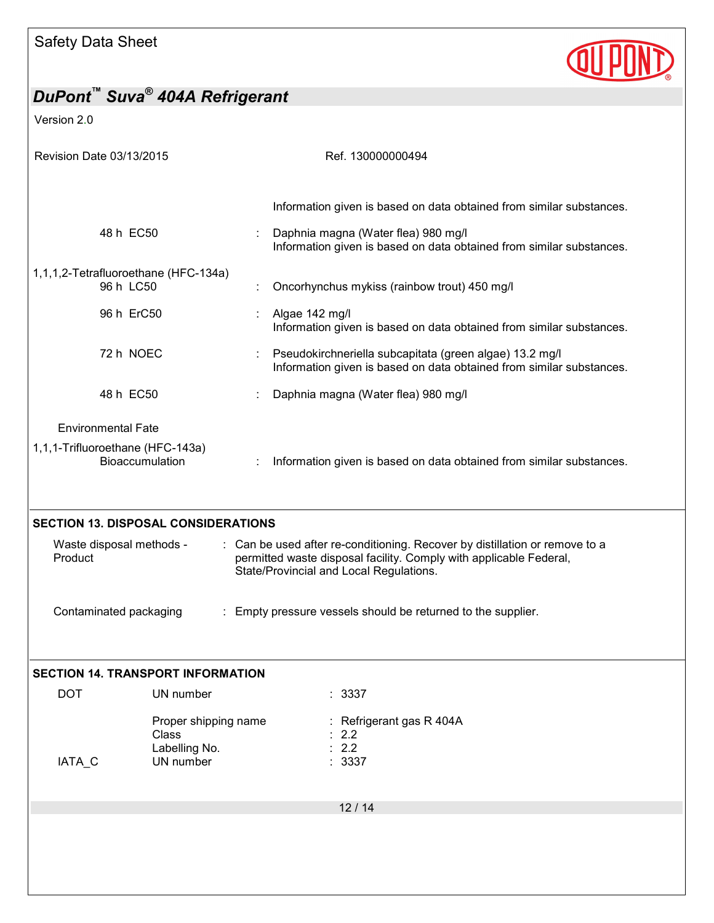

| Revision Date 03/13/2015                                                                                                           |                                                             | Ref. 130000000494                                                                                                                                                                            |
|------------------------------------------------------------------------------------------------------------------------------------|-------------------------------------------------------------|----------------------------------------------------------------------------------------------------------------------------------------------------------------------------------------------|
|                                                                                                                                    |                                                             |                                                                                                                                                                                              |
|                                                                                                                                    |                                                             | Information given is based on data obtained from similar substances.                                                                                                                         |
| 48 h EC50                                                                                                                          |                                                             | Daphnia magna (Water flea) 980 mg/l<br>Information given is based on data obtained from similar substances.                                                                                  |
| 1,1,1,2-Tetrafluoroethane (HFC-134a)<br>96 h LC50                                                                                  |                                                             | Oncorhynchus mykiss (rainbow trout) 450 mg/l                                                                                                                                                 |
| 96 h ErC50                                                                                                                         |                                                             | Algae 142 mg/l<br>Information given is based on data obtained from similar substances.                                                                                                       |
| 72 h NOEC                                                                                                                          |                                                             | Pseudokirchneriella subcapitata (green algae) 13.2 mg/l<br>Information given is based on data obtained from similar substances.                                                              |
| 48 h EC50                                                                                                                          |                                                             | Daphnia magna (Water flea) 980 mg/l                                                                                                                                                          |
| <b>Environmental Fate</b>                                                                                                          |                                                             |                                                                                                                                                                                              |
| 1,1,1-Trifluoroethane (HFC-143a)<br><b>Bioaccumulation</b><br>Information given is based on data obtained from similar substances. |                                                             |                                                                                                                                                                                              |
|                                                                                                                                    |                                                             |                                                                                                                                                                                              |
| Waste disposal methods -<br>Product                                                                                                | <b>SECTION 13. DISPOSAL CONSIDERATIONS</b>                  | : Can be used after re-conditioning. Recover by distillation or remove to a<br>permitted waste disposal facility. Comply with applicable Federal,<br>State/Provincial and Local Regulations. |
| Contaminated packaging                                                                                                             |                                                             | : Empty pressure vessels should be returned to the supplier.                                                                                                                                 |
|                                                                                                                                    | <b>SECTION 14. TRANSPORT INFORMATION</b>                    |                                                                                                                                                                                              |
| <b>DOT</b>                                                                                                                         | UN number                                                   | : 3337                                                                                                                                                                                       |
| IATA_C                                                                                                                             | Proper shipping name<br>Class<br>Labelling No.<br>UN number | Refrigerant gas R 404A<br>2.2<br>2.2<br>3337                                                                                                                                                 |
|                                                                                                                                    |                                                             | 12/14                                                                                                                                                                                        |
|                                                                                                                                    |                                                             |                                                                                                                                                                                              |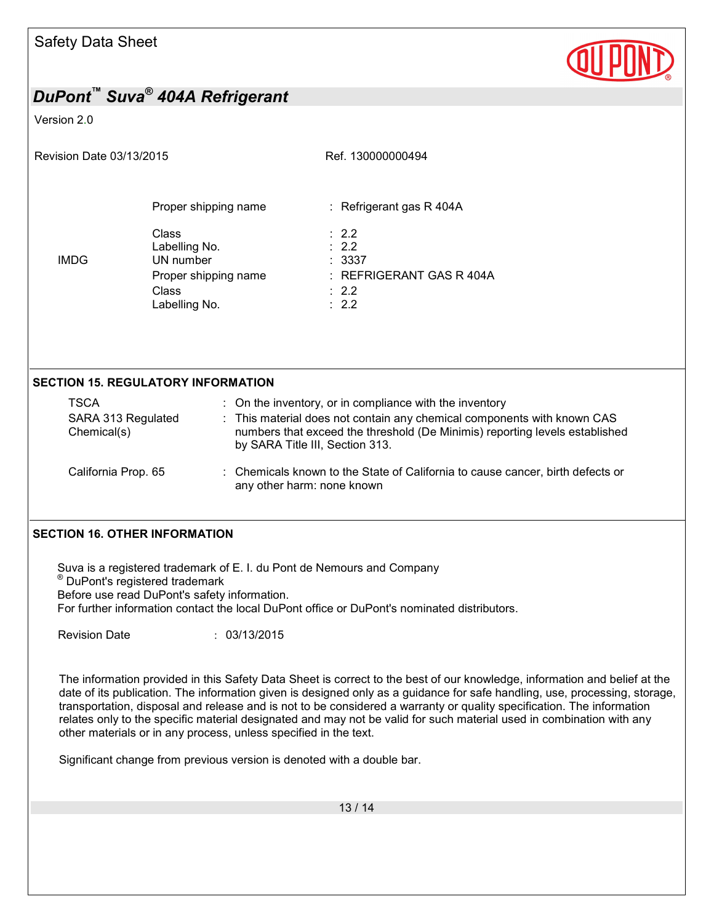

#### Version 2.0

|  | Revision Date 03/13/2015 |  |
|--|--------------------------|--|
|  |                          |  |

Ref. 130000000494

|             | Proper shipping name                | : Refrigerant gas $R$ 404A               |
|-------------|-------------------------------------|------------------------------------------|
| <b>IMDG</b> | Class<br>Labelling No.<br>UN number | $\div$ 2.2<br>$\therefore$ 2.2<br>: 3337 |
|             | Proper shipping name                | $:$ REFRIGERANT GAS R 404A               |
|             | Class                               | $\therefore$ 2.2                         |
|             | Labelling No.                       | $\therefore$ 2.2                         |

#### **SECTION 15. REGULATORY INFORMATION**

| TSCA<br>SARA 313 Regulated<br>Chemical(s) | : On the inventory, or in compliance with the inventory<br>: This material does not contain any chemical components with known CAS<br>numbers that exceed the threshold (De Minimis) reporting levels established<br>by SARA Title III, Section 313. |
|-------------------------------------------|------------------------------------------------------------------------------------------------------------------------------------------------------------------------------------------------------------------------------------------------------|
| California Prop. 65                       | : Chemicals known to the State of California to cause cancer, birth defects or<br>any other harm: none known                                                                                                                                         |

#### **SECTION 16. OTHER INFORMATION**

Suva is a registered trademark of E. I. du Pont de Nemours and Company ® DuPont's registered trademark Before use read DuPont's safety information. For further information contact the local DuPont office or DuPont's nominated distributors.

Revision Date : 03/13/2015

The information provided in this Safety Data Sheet is correct to the best of our knowledge, information and belief at the date of its publication. The information given is designed only as a guidance for safe handling, use, processing, storage, transportation, disposal and release and is not to be considered a warranty or quality specification. The information relates only to the specific material designated and may not be valid for such material used in combination with any other materials or in any process, unless specified in the text.

Significant change from previous version is denoted with a double bar.